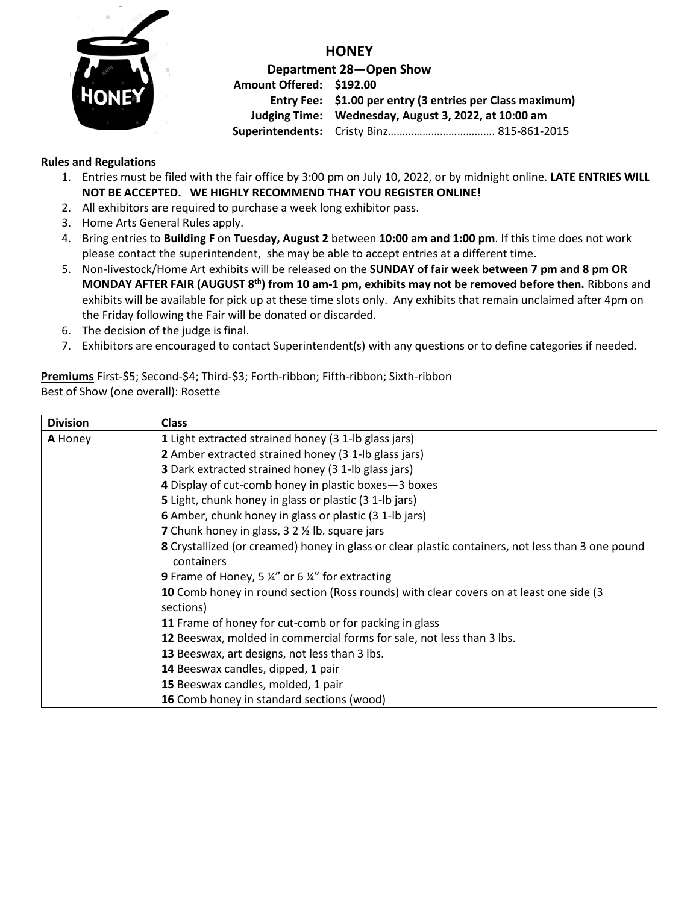

**HONEY Department 28—Open Show Amount Offered: \$192.00 Entry Fee: \$1.00 per entry (3 entries per Class maximum) Judging Time: Wednesday, August 3, 2022, at 10:00 am Superintendents:** Cristy Binz………………………………. 815-861-2015

## **Rules and Regulations**

- 1. Entries must be filed with the fair office by 3:00 pm on July 10, 2022, or by midnight online. **LATE ENTRIES WILL NOT BE ACCEPTED. WE HIGHLY RECOMMEND THAT YOU REGISTER ONLINE!**
- 2. All exhibitors are required to purchase a week long exhibitor pass.
- 3. Home Arts General Rules apply.
- 4. Bring entries to **Building F** on **Tuesday, August 2** between **10:00 am and 1:00 pm**. If this time does not work please contact the superintendent, she may be able to accept entries at a different time.
- 5. Non-livestock/Home Art exhibits will be released on the **SUNDAY of fair week between 7 pm and 8 pm OR MONDAY AFTER FAIR (AUGUST 8 th) from 10 am-1 pm, exhibits may not be removed before then.** Ribbons and exhibits will be available for pick up at these time slots only. Any exhibits that remain unclaimed after 4pm on the Friday following the Fair will be donated or discarded.
- 6. The decision of the judge is final.
- 7. Exhibitors are encouraged to contact Superintendent(s) with any questions or to define categories if needed.

## **Premiums** First-\$5; Second-\$4; Third-\$3; Forth-ribbon; Fifth-ribbon; Sixth-ribbon Best of Show (one overall): Rosette

| <b>Division</b> | <b>Class</b>                                                                                                    |  |  |  |
|-----------------|-----------------------------------------------------------------------------------------------------------------|--|--|--|
| A Honey         | 1 Light extracted strained honey (3 1-lb glass jars)                                                            |  |  |  |
|                 | 2 Amber extracted strained honey (3 1-lb glass jars)                                                            |  |  |  |
|                 | <b>3</b> Dark extracted strained honey (3 1-lb glass jars)                                                      |  |  |  |
|                 | 4 Display of cut-comb honey in plastic boxes-3 boxes                                                            |  |  |  |
|                 | 5 Light, chunk honey in glass or plastic (3 1-lb jars)                                                          |  |  |  |
|                 | 6 Amber, chunk honey in glass or plastic (3 1-lb jars)                                                          |  |  |  |
|                 | <b>7</b> Chunk honey in glass, 3 2 % lb. square jars                                                            |  |  |  |
|                 | 8 Crystallized (or creamed) honey in glass or clear plastic containers, not less than 3 one pound<br>containers |  |  |  |
|                 | <b>9</b> Frame of Honey, 5 $\frac{1}{4}$ " or 6 $\frac{1}{4}$ " for extracting                                  |  |  |  |
|                 | 10 Comb honey in round section (Ross rounds) with clear covers on at least one side (3<br>sections)             |  |  |  |
|                 | 11 Frame of honey for cut-comb or for packing in glass                                                          |  |  |  |
|                 | 12 Beeswax, molded in commercial forms for sale, not less than 3 lbs.                                           |  |  |  |
|                 | 13 Beeswax, art designs, not less than 3 lbs.                                                                   |  |  |  |
|                 | 14 Beeswax candles, dipped, 1 pair                                                                              |  |  |  |
|                 | 15 Beeswax candles, molded, 1 pair                                                                              |  |  |  |
|                 | 16 Comb honey in standard sections (wood)                                                                       |  |  |  |